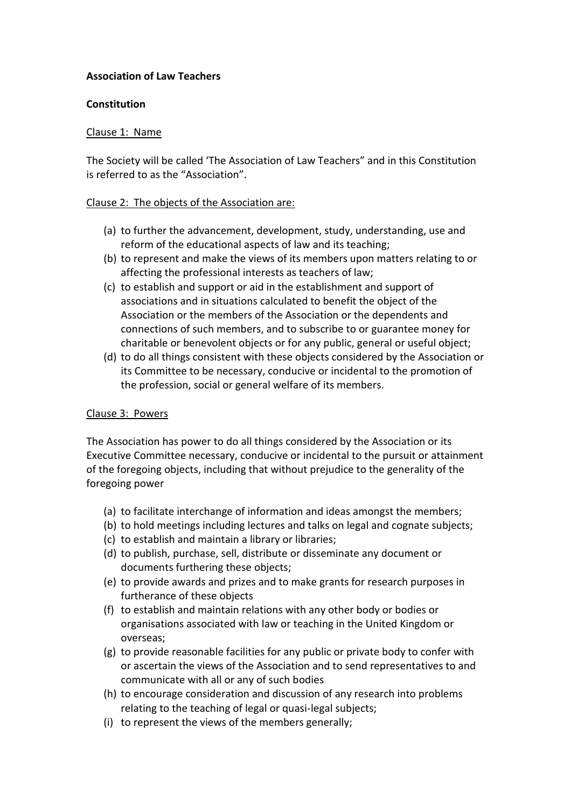### **Association of Law Teachers**

#### **Constitution**

### Clause 1: Name

The Society will be called 'The Association of Law Teachers" and in this Constitution is referred to as the "Association".

#### Clause 2: The objects of the Association are:

- (a) to further the advancement, development, study, understanding, use and reform of the educational aspects of law and its teaching;
- (b) to represent and make the views of its members upon matters relating to or affecting the professional interests as teachers of law;
- (c) to establish and support or aid in the establishment and support of associations and in situations calculated to benefit the object of the Association or the members of the Association or the dependents and connections of such members, and to subscribe to or guarantee money for charitable or benevolent objects or for any public, general or useful object;
- (d) to do all things consistent with these objects considered by the Association or its Committee to be necessary, conducive or incidental to the promotion of the profession, social or general welfare of its members.

# Clause 3: Powers

The Association has power to do all things considered by the Association or its Executive Committee necessary, conducive or incidental to the pursuit or attainment of the foregoing objects, including that without prejudice to the generality of the foregoing power

- (a) to facilitate interchange of information and ideas amongst the members;
- (b) to hold meetings including lectures and talks on legal and cognate subjects;
- (c) to establish and maintain a library or libraries;
- (d) to publish, purchase, sell, distribute or disseminate any document or documents furthering these objects;
- (e) to provide awards and prizes and to make grants for research purposes in furtherance of these objects
- (f) to establish and maintain relations with any other body or bodies or organisations associated with law or teaching in the United Kingdom or overseas;
- (g) to provide reasonable facilities for any public or private body to confer with or ascertain the views of the Association and to send representatives to and communicate with all or any of such bodies
- (h) to encourage consideration and discussion of any research into problems relating to the teaching of legal or quasi-legal subjects;
- (i) to represent the views of the members generally;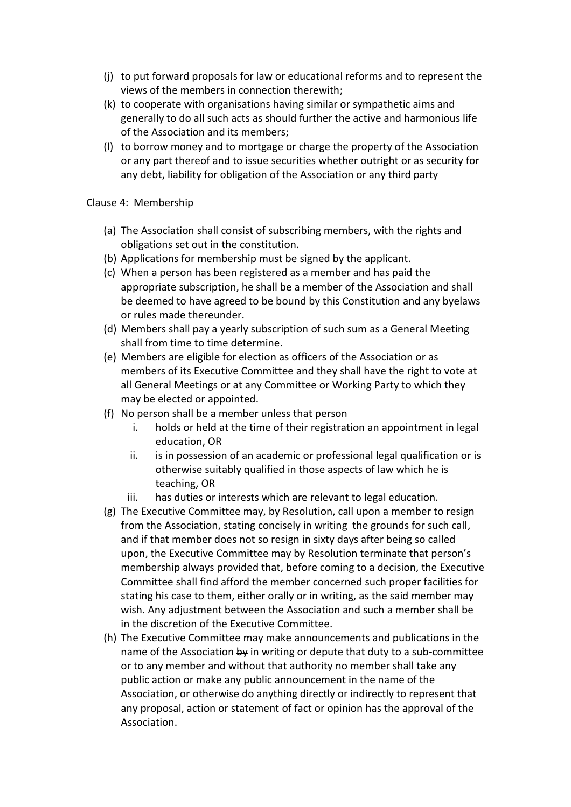- (j) to put forward proposals for law or educational reforms and to represent the views of the members in connection therewith;
- (k) to cooperate with organisations having similar or sympathetic aims and generally to do all such acts as should further the active and harmonious life of the Association and its members;
- (l) to borrow money and to mortgage or charge the property of the Association or any part thereof and to issue securities whether outright or as security for any debt, liability for obligation of the Association or any third party

#### Clause 4: Membership

- (a) The Association shall consist of subscribing members, with the rights and obligations set out in the constitution.
- (b) Applications for membership must be signed by the applicant.
- (c) When a person has been registered as a member and has paid the appropriate subscription, he shall be a member of the Association and shall be deemed to have agreed to be bound by this Constitution and any byelaws or rules made thereunder.
- (d) Members shall pay a yearly subscription of such sum as a General Meeting shall from time to time determine.
- (e) Members are eligible for election as officers of the Association or as members of its Executive Committee and they shall have the right to vote at all General Meetings or at any Committee or Working Party to which they may be elected or appointed.
- (f) No person shall be a member unless that person
	- i. holds or held at the time of their registration an appointment in legal education, OR
	- ii. is in possession of an academic or professional legal qualification or is otherwise suitably qualified in those aspects of law which he is teaching, OR
	- iii. has duties or interests which are relevant to legal education.
- (g) The Executive Committee may, by Resolution, call upon a member to resign from the Association, stating concisely in writing the grounds for such call, and if that member does not so resign in sixty days after being so called upon, the Executive Committee may by Resolution terminate that person's membership always provided that, before coming to a decision, the Executive Committee shall find afford the member concerned such proper facilities for stating his case to them, either orally or in writing, as the said member may wish. Any adjustment between the Association and such a member shall be in the discretion of the Executive Committee.
- (h) The Executive Committee may make announcements and publications in the name of the Association  $\frac{1}{2}$  in writing or depute that duty to a sub-committee or to any member and without that authority no member shall take any public action or make any public announcement in the name of the Association, or otherwise do anything directly or indirectly to represent that any proposal, action or statement of fact or opinion has the approval of the Association.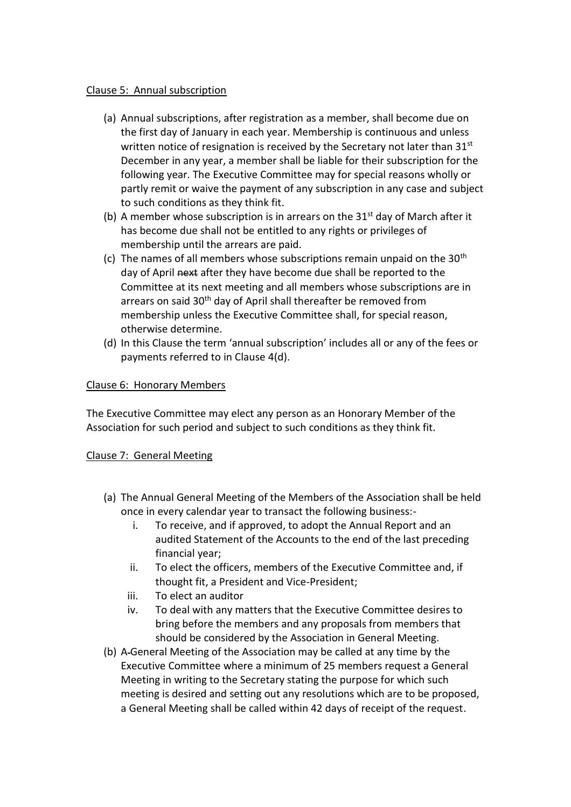#### Clause 5: Annual subscription

- (a) Annual subscriptions, after registration as a member, shall become due on the first day of January in each year. Membership is continuous and unless written notice of resignation is received by the Secretary not later than 31<sup>st</sup> December in any year, a member shall be liable for their subscription for the following year. The Executive Committee may for special reasons wholly or partly remit or waive the payment of any subscription in any case and subject to such conditions as they think fit.
- (b) A member whose subscription is in arrears on the  $31<sup>st</sup>$  day of March after it has become due shall not be entitled to any rights or privileges of membership until the arrears are paid.
- (c) The names of all members whose subscriptions remain unpaid on the  $30<sup>th</sup>$ day of April next after they have become due shall be reported to the Committee at its next meeting and all members whose subscriptions are in arrears on said 30<sup>th</sup> day of April shall thereafter be removed from membership unless the Executive Committee shall, for special reason, otherwise determine.
- (d) In this Clause the term 'annual subscription' includes all or any of the fees or payments referred to in Clause 4(d).

### Clause 6: Honorary Members

The Executive Committee may elect any person as an Honorary Member of the Association for such period and subject to such conditions as they think fit.

#### Clause 7: General Meeting

- (a) The Annual General Meeting of the Members of the Association shall be held once in every calendar year to transact the following business:
	- i. To receive, and if approved, to adopt the Annual Report and an audited Statement of the Accounts to the end of the last preceding financial year;
	- ii. To elect the officers, members of the Executive Committee and, if thought fit, a President and Vice-President;
	- iii. To elect an auditor
	- iv. To deal with any matters that the Executive Committee desires to bring before the members and any proposals from members that should be considered by the Association in General Meeting.
- (b) A General Meeting of the Association may be called at any time by the Executive Committee where a minimum of 25 members request a General Meeting in writing to the Secretary stating the purpose for which such meeting is desired and setting out any resolutions which are to be proposed, a General Meeting shall be called within 42 days of receipt of the request.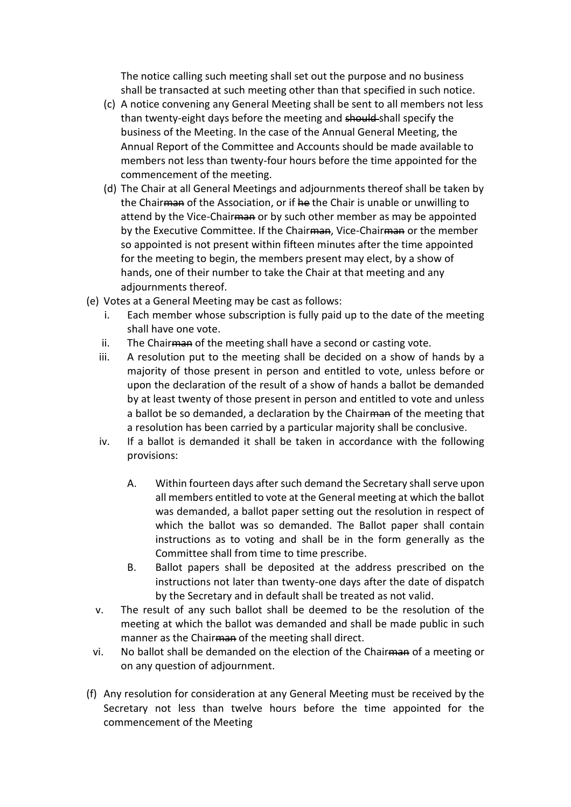The notice calling such meeting shall set out the purpose and no business shall be transacted at such meeting other than that specified in such notice.

- (c) A notice convening any General Meeting shall be sent to all members not less than twenty-eight days before the meeting and should shall specify the business of the Meeting. In the case of the Annual General Meeting, the Annual Report of the Committee and Accounts should be made available to members not less than twenty-four hours before the time appointed for the commencement of the meeting.
- (d) The Chair at all General Meetings and adjournments thereof shall be taken by the Chairman of the Association, or if he the Chair is unable or unwilling to attend by the Vice-Chair and or by such other member as may be appointed by the Executive Committee. If the Chair<del>man</del>, Vice-Chair<del>man</del> or the member so appointed is not present within fifteen minutes after the time appointed for the meeting to begin, the members present may elect, by a show of hands, one of their number to take the Chair at that meeting and any adjournments thereof.
- (e) Votes at a General Meeting may be cast as follows:
	- i. Each member whose subscription is fully paid up to the date of the meeting shall have one vote.
	- ii. The Chair man of the meeting shall have a second or casting vote.
	- iii. A resolution put to the meeting shall be decided on a show of hands by a majority of those present in person and entitled to vote, unless before or upon the declaration of the result of a show of hands a ballot be demanded by at least twenty of those present in person and entitled to vote and unless a ballot be so demanded, a declaration by the Chairman of the meeting that a resolution has been carried by a particular majority shall be conclusive.
	- iv. If a ballot is demanded it shall be taken in accordance with the following provisions:
		- A. Within fourteen days after such demand the Secretary shall serve upon all members entitled to vote at the General meeting at which the ballot was demanded, a ballot paper setting out the resolution in respect of which the ballot was so demanded. The Ballot paper shall contain instructions as to voting and shall be in the form generally as the Committee shall from time to time prescribe.
		- B. Ballot papers shall be deposited at the address prescribed on the instructions not later than twenty-one days after the date of dispatch by the Secretary and in default shall be treated as not valid.
	- v. The result of any such ballot shall be deemed to be the resolution of the meeting at which the ballot was demanded and shall be made public in such manner as the Chairman of the meeting shall direct.
	- vi. No ballot shall be demanded on the election of the Chairman of a meeting or on any question of adjournment.
- (f) Any resolution for consideration at any General Meeting must be received by the Secretary not less than twelve hours before the time appointed for the commencement of the Meeting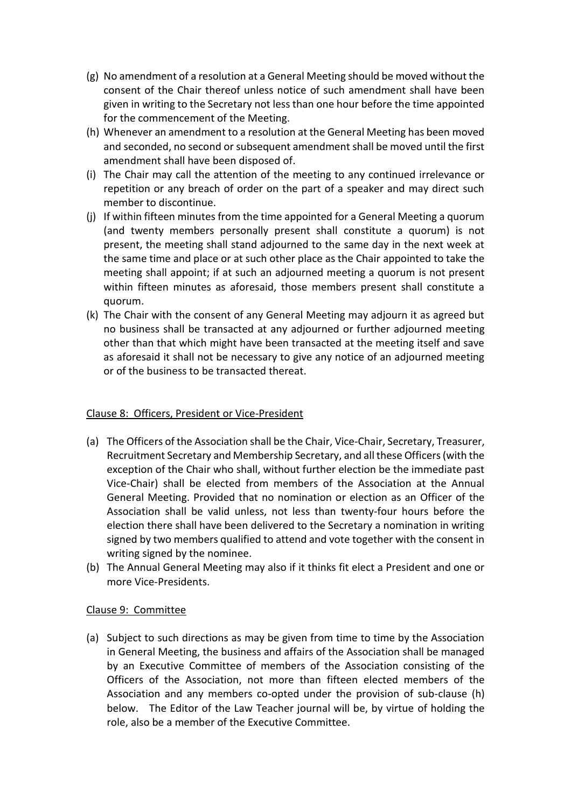- (g) No amendment of a resolution at a General Meeting should be moved without the consent of the Chair thereof unless notice of such amendment shall have been given in writing to the Secretary not less than one hour before the time appointed for the commencement of the Meeting.
- (h) Whenever an amendment to a resolution at the General Meeting has been moved and seconded, no second or subsequent amendment shall be moved until the first amendment shall have been disposed of.
- (i) The Chair may call the attention of the meeting to any continued irrelevance or repetition or any breach of order on the part of a speaker and may direct such member to discontinue.
- (j) If within fifteen minutes from the time appointed for a General Meeting a quorum (and twenty members personally present shall constitute a quorum) is not present, the meeting shall stand adjourned to the same day in the next week at the same time and place or at such other place as the Chair appointed to take the meeting shall appoint; if at such an adjourned meeting a quorum is not present within fifteen minutes as aforesaid, those members present shall constitute a quorum.
- (k) The Chair with the consent of any General Meeting may adjourn it as agreed but no business shall be transacted at any adjourned or further adjourned meeting other than that which might have been transacted at the meeting itself and save as aforesaid it shall not be necessary to give any notice of an adjourned meeting or of the business to be transacted thereat.

#### Clause 8: Officers, President or Vice-President

- (a) The Officers of the Association shall be the Chair, Vice-Chair, Secretary, Treasurer, Recruitment Secretary and Membership Secretary, and all these Officers (with the exception of the Chair who shall, without further election be the immediate past Vice-Chair) shall be elected from members of the Association at the Annual General Meeting. Provided that no nomination or election as an Officer of the Association shall be valid unless, not less than twenty-four hours before the election there shall have been delivered to the Secretary a nomination in writing signed by two members qualified to attend and vote together with the consent in writing signed by the nominee.
- (b) The Annual General Meeting may also if it thinks fit elect a President and one or more Vice-Presidents.

#### Clause 9: Committee

(a) Subject to such directions as may be given from time to time by the Association in General Meeting, the business and affairs of the Association shall be managed by an Executive Committee of members of the Association consisting of the Officers of the Association, not more than fifteen elected members of the Association and any members co-opted under the provision of sub-clause (h) below. The Editor of the Law Teacher journal will be, by virtue of holding the role, also be a member of the Executive Committee.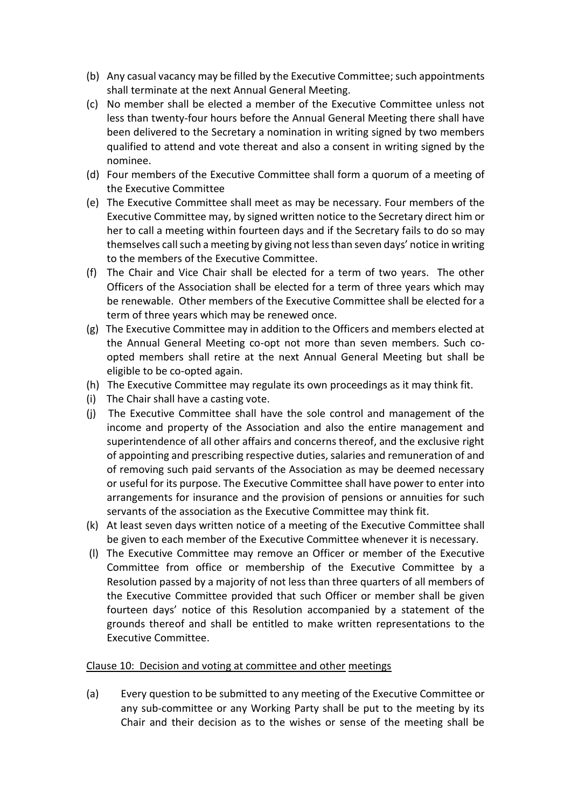- (b) Any casual vacancy may be filled by the Executive Committee; such appointments shall terminate at the next Annual General Meeting.
- (c) No member shall be elected a member of the Executive Committee unless not less than twenty-four hours before the Annual General Meeting there shall have been delivered to the Secretary a nomination in writing signed by two members qualified to attend and vote thereat and also a consent in writing signed by the nominee.
- (d) Four members of the Executive Committee shall form a quorum of a meeting of the Executive Committee
- (e) The Executive Committee shall meet as may be necessary. Four members of the Executive Committee may, by signed written notice to the Secretary direct him or her to call a meeting within fourteen days and if the Secretary fails to do so may themselves call such a meeting by giving not less than seven days' notice in writing to the members of the Executive Committee.
- (f) The Chair and Vice Chair shall be elected for a term of two years. The other Officers of the Association shall be elected for a term of three years which may be renewable. Other members of the Executive Committee shall be elected for a term of three years which may be renewed once.
- (g) The Executive Committee may in addition to the Officers and members elected at the Annual General Meeting co-opt not more than seven members. Such coopted members shall retire at the next Annual General Meeting but shall be eligible to be co-opted again.
- (h) The Executive Committee may regulate its own proceedings as it may think fit.
- (i) The Chair shall have a casting vote.
- (j) The Executive Committee shall have the sole control and management of the income and property of the Association and also the entire management and superintendence of all other affairs and concerns thereof, and the exclusive right of appointing and prescribing respective duties, salaries and remuneration of and of removing such paid servants of the Association as may be deemed necessary or useful for its purpose. The Executive Committee shall have power to enter into arrangements for insurance and the provision of pensions or annuities for such servants of the association as the Executive Committee may think fit.
- (k) At least seven days written notice of a meeting of the Executive Committee shall be given to each member of the Executive Committee whenever it is necessary.
- (l) The Executive Committee may remove an Officer or member of the Executive Committee from office or membership of the Executive Committee by a Resolution passed by a majority of not less than three quarters of all members of the Executive Committee provided that such Officer or member shall be given fourteen days' notice of this Resolution accompanied by a statement of the grounds thereof and shall be entitled to make written representations to the Executive Committee.

#### Clause 10: Decision and voting at committee and other meetings

(a) Every question to be submitted to any meeting of the Executive Committee or any sub-committee or any Working Party shall be put to the meeting by its Chair and their decision as to the wishes or sense of the meeting shall be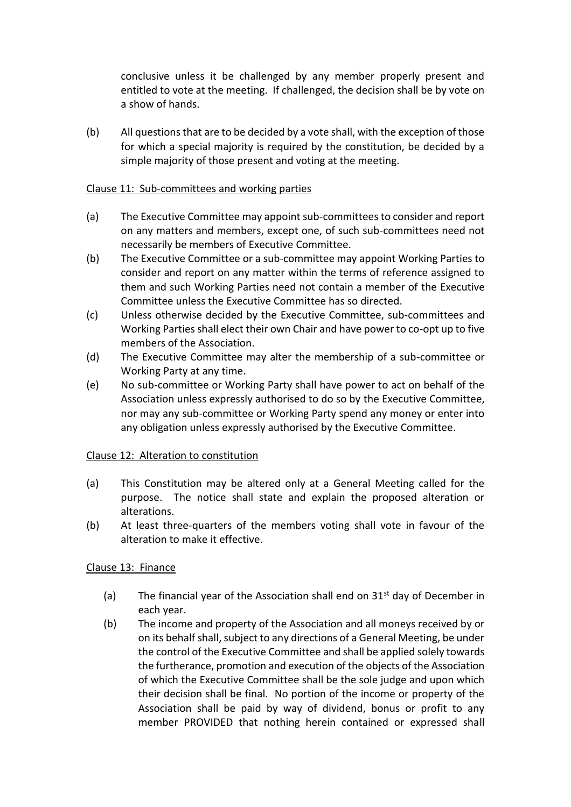conclusive unless it be challenged by any member properly present and entitled to vote at the meeting. If challenged, the decision shall be by vote on a show of hands.

(b) All questions that are to be decided by a vote shall, with the exception of those for which a special majority is required by the constitution, be decided by a simple majority of those present and voting at the meeting.

#### Clause 11: Sub-committees and working parties

- (a) The Executive Committee may appoint sub-committees to consider and report on any matters and members, except one, of such sub-committees need not necessarily be members of Executive Committee.
- (b) The Executive Committee or a sub-committee may appoint Working Parties to consider and report on any matter within the terms of reference assigned to them and such Working Parties need not contain a member of the Executive Committee unless the Executive Committee has so directed.
- (c) Unless otherwise decided by the Executive Committee, sub-committees and Working Parties shall elect their own Chair and have power to co-opt up to five members of the Association.
- (d) The Executive Committee may alter the membership of a sub-committee or Working Party at any time.
- (e) No sub-committee or Working Party shall have power to act on behalf of the Association unless expressly authorised to do so by the Executive Committee, nor may any sub-committee or Working Party spend any money or enter into any obligation unless expressly authorised by the Executive Committee.

#### Clause 12: Alteration to constitution

- (a) This Constitution may be altered only at a General Meeting called for the purpose. The notice shall state and explain the proposed alteration or alterations.
- (b) At least three-quarters of the members voting shall vote in favour of the alteration to make it effective.

# Clause 13: Finance

- (a) The financial year of the Association shall end on  $31<sup>st</sup>$  day of December in each year.
- (b) The income and property of the Association and all moneys received by or on its behalf shall, subject to any directions of a General Meeting, be under the control of the Executive Committee and shall be applied solely towards the furtherance, promotion and execution of the objects of the Association of which the Executive Committee shall be the sole judge and upon which their decision shall be final. No portion of the income or property of the Association shall be paid by way of dividend, bonus or profit to any member PROVIDED that nothing herein contained or expressed shall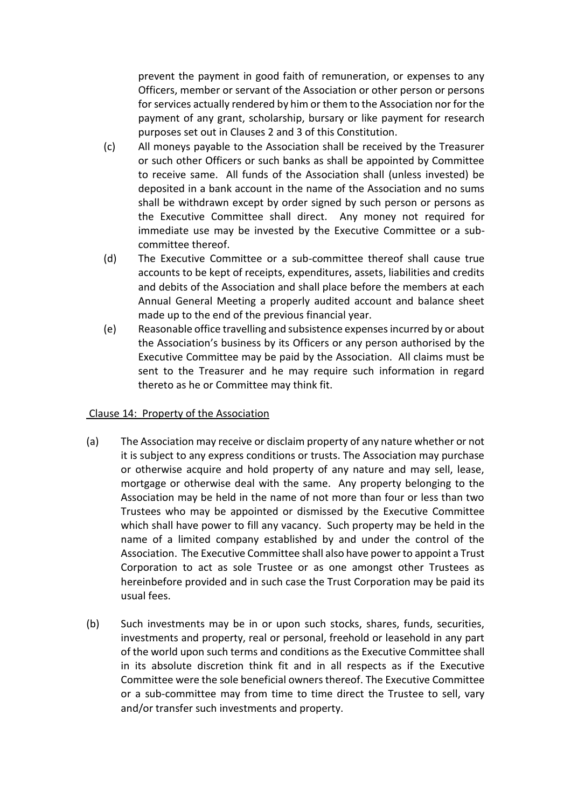prevent the payment in good faith of remuneration, or expenses to any Officers, member or servant of the Association or other person or persons for services actually rendered by him or them to the Association nor for the payment of any grant, scholarship, bursary or like payment for research purposes set out in Clauses 2 and 3 of this Constitution.

- (c) All moneys payable to the Association shall be received by the Treasurer or such other Officers or such banks as shall be appointed by Committee to receive same. All funds of the Association shall (unless invested) be deposited in a bank account in the name of the Association and no sums shall be withdrawn except by order signed by such person or persons as the Executive Committee shall direct. Any money not required for immediate use may be invested by the Executive Committee or a subcommittee thereof.
- (d) The Executive Committee or a sub-committee thereof shall cause true accounts to be kept of receipts, expenditures, assets, liabilities and credits and debits of the Association and shall place before the members at each Annual General Meeting a properly audited account and balance sheet made up to the end of the previous financial year.
- (e) Reasonable office travelling and subsistence expenses incurred by or about the Association's business by its Officers or any person authorised by the Executive Committee may be paid by the Association. All claims must be sent to the Treasurer and he may require such information in regard thereto as he or Committee may think fit.

#### Clause 14: Property of the Association

- (a) The Association may receive or disclaim property of any nature whether or not it is subject to any express conditions or trusts. The Association may purchase or otherwise acquire and hold property of any nature and may sell, lease, mortgage or otherwise deal with the same. Any property belonging to the Association may be held in the name of not more than four or less than two Trustees who may be appointed or dismissed by the Executive Committee which shall have power to fill any vacancy. Such property may be held in the name of a limited company established by and under the control of the Association. The Executive Committee shall also have power to appoint a Trust Corporation to act as sole Trustee or as one amongst other Trustees as hereinbefore provided and in such case the Trust Corporation may be paid its usual fees.
- (b) Such investments may be in or upon such stocks, shares, funds, securities, investments and property, real or personal, freehold or leasehold in any part of the world upon such terms and conditions as the Executive Committee shall in its absolute discretion think fit and in all respects as if the Executive Committee were the sole beneficial owners thereof. The Executive Committee or a sub-committee may from time to time direct the Trustee to sell, vary and/or transfer such investments and property.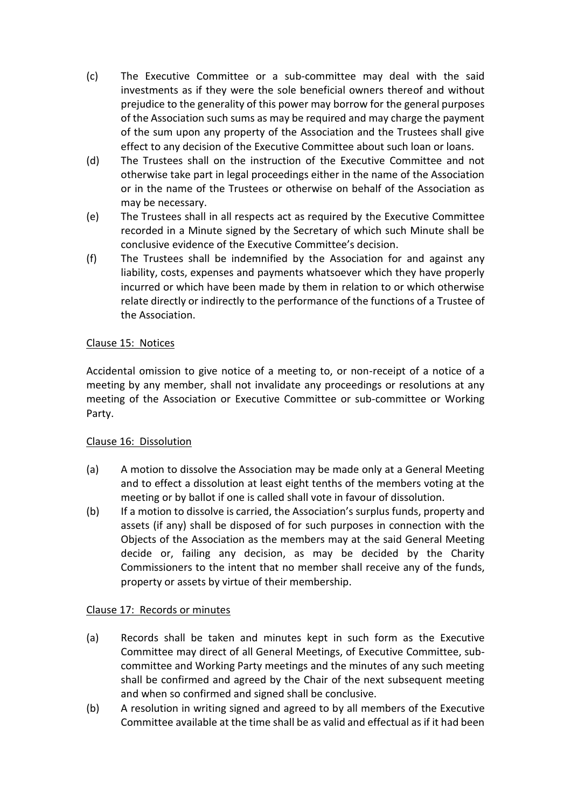- (c) The Executive Committee or a sub-committee may deal with the said investments as if they were the sole beneficial owners thereof and without prejudice to the generality of this power may borrow for the general purposes of the Association such sums as may be required and may charge the payment of the sum upon any property of the Association and the Trustees shall give effect to any decision of the Executive Committee about such loan or loans.
- (d) The Trustees shall on the instruction of the Executive Committee and not otherwise take part in legal proceedings either in the name of the Association or in the name of the Trustees or otherwise on behalf of the Association as may be necessary.
- (e) The Trustees shall in all respects act as required by the Executive Committee recorded in a Minute signed by the Secretary of which such Minute shall be conclusive evidence of the Executive Committee's decision.
- (f) The Trustees shall be indemnified by the Association for and against any liability, costs, expenses and payments whatsoever which they have properly incurred or which have been made by them in relation to or which otherwise relate directly or indirectly to the performance of the functions of a Trustee of the Association.

# Clause 15: Notices

Accidental omission to give notice of a meeting to, or non-receipt of a notice of a meeting by any member, shall not invalidate any proceedings or resolutions at any meeting of the Association or Executive Committee or sub-committee or Working Party.

# Clause 16: Dissolution

- (a) A motion to dissolve the Association may be made only at a General Meeting and to effect a dissolution at least eight tenths of the members voting at the meeting or by ballot if one is called shall vote in favour of dissolution.
- (b) If a motion to dissolve is carried, the Association's surplus funds, property and assets (if any) shall be disposed of for such purposes in connection with the Objects of the Association as the members may at the said General Meeting decide or, failing any decision, as may be decided by the Charity Commissioners to the intent that no member shall receive any of the funds, property or assets by virtue of their membership.

# Clause 17: Records or minutes

- (a) Records shall be taken and minutes kept in such form as the Executive Committee may direct of all General Meetings, of Executive Committee, subcommittee and Working Party meetings and the minutes of any such meeting shall be confirmed and agreed by the Chair of the next subsequent meeting and when so confirmed and signed shall be conclusive.
- (b) A resolution in writing signed and agreed to by all members of the Executive Committee available at the time shall be as valid and effectual as if it had been